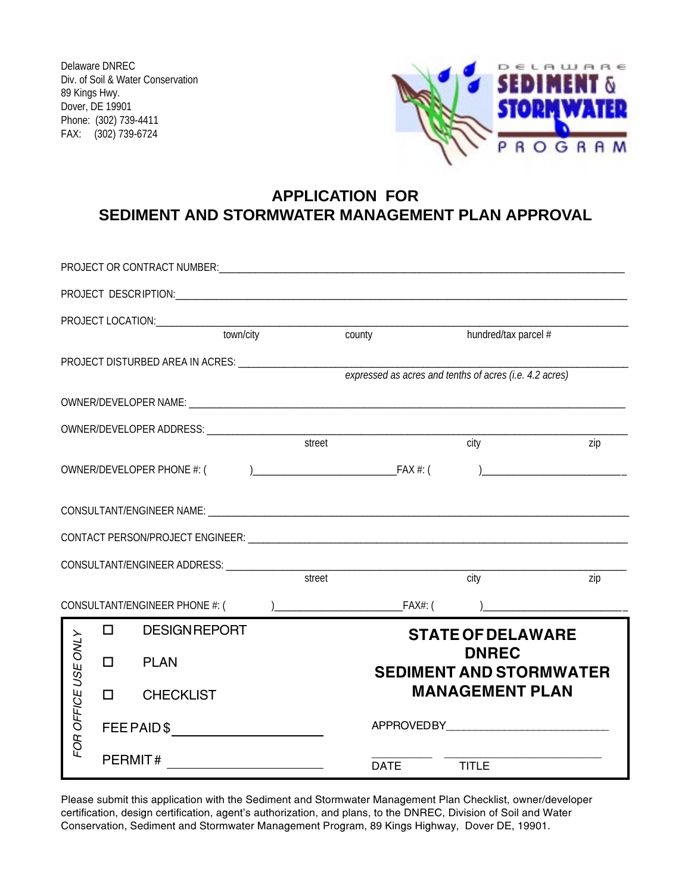Delaware DNREC Div. of Soil & Water Conservation 89 Kings Hwy. Dover, DE 19901 Phone: (302) 739-4411 FAX: (302) 739-6724



## **APPLICATION FOR SEDIMENT AND STORMWATER MANAGEMENT PLAN APPROVAL**

|                     |                                | PROJECT OR CONTRACT NUMBER: CONTRACT OF A CONTRACT AND A CONTRACT OF A CONTRACT OF A CONTRACT OF A CONTRACT OF                                                                                                                                                                                                                |        |                                                         |                      |                                                                |  |  |
|---------------------|--------------------------------|-------------------------------------------------------------------------------------------------------------------------------------------------------------------------------------------------------------------------------------------------------------------------------------------------------------------------------|--------|---------------------------------------------------------|----------------------|----------------------------------------------------------------|--|--|
|                     |                                |                                                                                                                                                                                                                                                                                                                               |        |                                                         |                      |                                                                |  |  |
|                     |                                |                                                                                                                                                                                                                                                                                                                               |        |                                                         |                      |                                                                |  |  |
|                     |                                | town/city                                                                                                                                                                                                                                                                                                                     |        | county                                                  | hundred/tax parcel # |                                                                |  |  |
|                     |                                | PROJECT DISTURBED AREA IN ACRES: __________________________                                                                                                                                                                                                                                                                   |        | expressed as acres and tenths of acres (i.e. 4.2 acres) |                      |                                                                |  |  |
|                     |                                |                                                                                                                                                                                                                                                                                                                               |        |                                                         |                      |                                                                |  |  |
|                     |                                |                                                                                                                                                                                                                                                                                                                               |        |                                                         |                      |                                                                |  |  |
|                     |                                |                                                                                                                                                                                                                                                                                                                               | street |                                                         | city                 | zip                                                            |  |  |
|                     |                                |                                                                                                                                                                                                                                                                                                                               |        |                                                         |                      | ) and the contract of the contract of $\overline{\phantom{a}}$ |  |  |
|                     |                                |                                                                                                                                                                                                                                                                                                                               |        |                                                         |                      |                                                                |  |  |
|                     |                                |                                                                                                                                                                                                                                                                                                                               |        |                                                         |                      |                                                                |  |  |
|                     |                                |                                                                                                                                                                                                                                                                                                                               |        |                                                         |                      |                                                                |  |  |
|                     |                                |                                                                                                                                                                                                                                                                                                                               | street |                                                         | city                 | zip                                                            |  |  |
|                     |                                |                                                                                                                                                                                                                                                                                                                               |        |                                                         |                      |                                                                |  |  |
|                     | $\Box$                         | <b>DESIGNREPORT</b>                                                                                                                                                                                                                                                                                                           |        | <b>STATE OF DELAWARE</b>                                |                      |                                                                |  |  |
| FOR OFFICE USE ONLY | $\Box$                         | <b>PLAN</b>                                                                                                                                                                                                                                                                                                                   |        | <b>DNREC</b><br><b>SEDIMENT AND STORMWATER</b>          |                      |                                                                |  |  |
|                     | П.                             | <b>CHECKLIST</b>                                                                                                                                                                                                                                                                                                              |        | <b>MANAGEMENT PLAN</b>                                  |                      |                                                                |  |  |
|                     | $\mathsf{FEE}$ PAID \$         |                                                                                                                                                                                                                                                                                                                               |        |                                                         |                      |                                                                |  |  |
|                     | PERMIT# ______________________ |                                                                                                                                                                                                                                                                                                                               |        | <b>DATE</b>                                             | <b>TITLE</b>         |                                                                |  |  |
|                     |                                | Please submit this application with the Sediment and Stormwater Management Plan Checklist, owner/developer<br>certification, design certification, agent's authorization, and plans, to the DNREC, Division of Soil and Water<br>Conservation, Sediment and Stormwater Management Program, 89 Kings Highway, Dover DE, 19901. |        |                                                         |                      |                                                                |  |  |